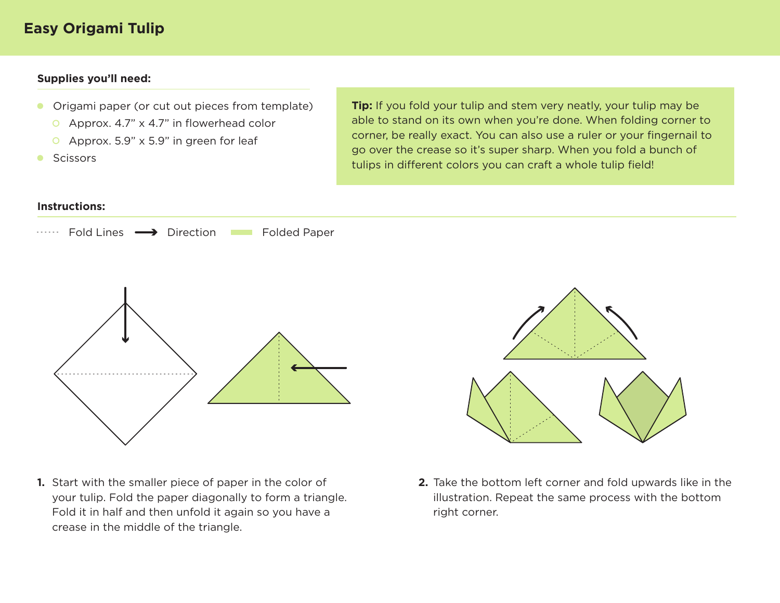#### **Supplies you'll need:**

- Origami paper (or cut out pieces from template)  $\bullet$ 
	- Approx. 4.7" x 4.7" in flowerhead color
	- Approx. 5.9" x 5.9" in green for leaf
- $\bullet$ **Scissors**

**Tip:** If you fold your tulip and stem very neatly, your tulip may be able to stand on its own when you're done. When folding corner to corner, be really exact. You can also use a ruler or your fingernail to go over the crease so it's super sharp. When you fold a bunch of tulips in different colors you can craft a whole tulip field!

#### **Instructions:**





1. Start with the smaller piece of paper in the color of your tulip. Fold the paper diagonally to form a triangle. Fold it in half and then unfold it again so you have a crease in the middle of the triangle.



**1.** Start with the smaller piece of paper in the color of **2.** Take the bottom left corner and fold upwards like in the illustration. Repeat the same process with the bottom right corner.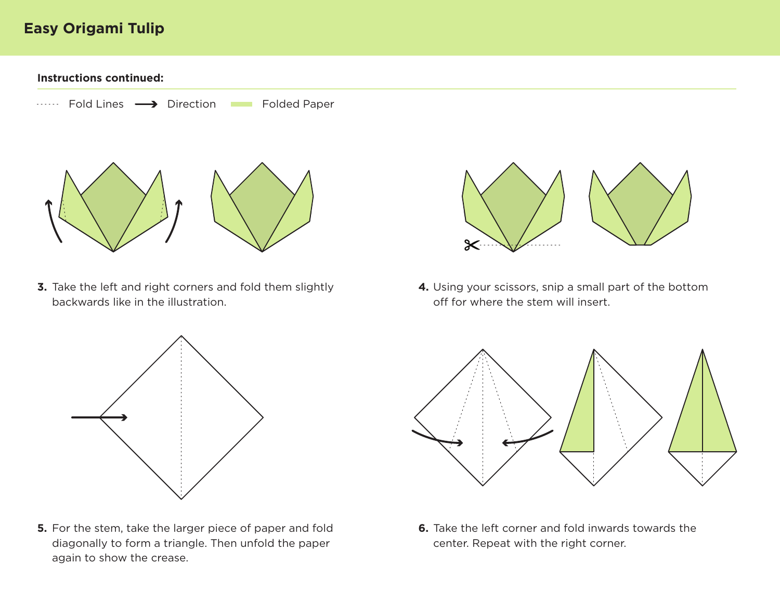**Instructions continued:**



**3.** Take the left and right corners and fold them slightly **4.** Using your scissors, snip a small part of the bottom backwards like in the illustration.



**5.** For the stem, take the larger piece of paper and fold **6.** Take the left corner and fold inwards towards the diagonally to form a triangle. Then unfold the paper again to show the crease.



off for where the stem will insert. 4. Using your scissors, snip a small part of the bottom



center. Repeat with the right corner. **6.** Take the left corner and fold inwards towards the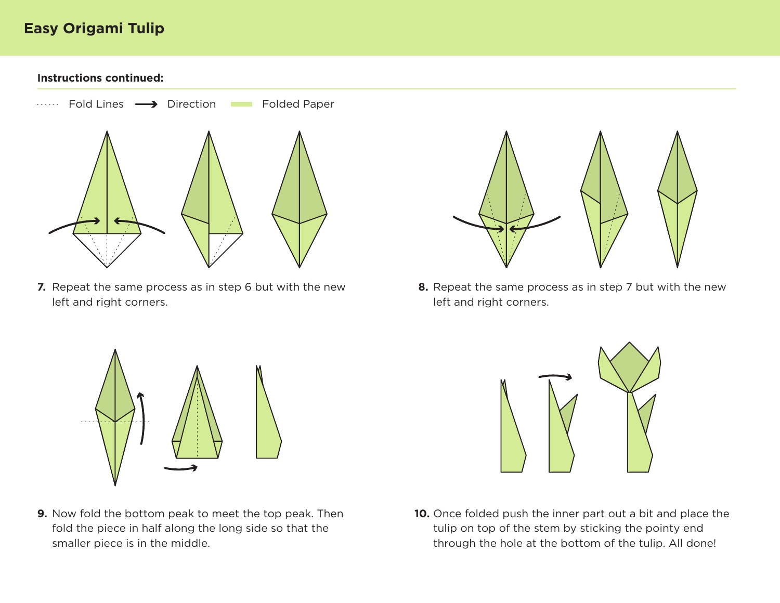**Instructions continued:**



7. Repeat the same process as in step 6 but with the new left and right corners.



**7.** Repeat the same process as in step 6 but with the new **8.** Repeat the same process as in step 7 but with the new left and right corners.



9. Now fold the bottom peak to meet the top peak. Then fold the piece in half along the long side so that the smaller piece is in the middle.



**9.** Now fold the bottom peak to meet the top peak. Then **10.** Once folded push the inner part out a bit and place the tulip on top of the stem by sticking the pointy end through the hole at the bottom of the tulip. All done!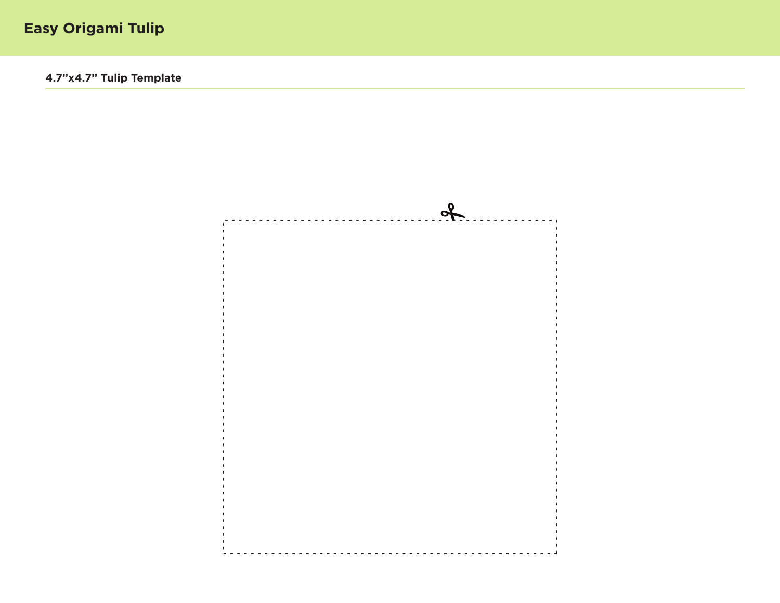**4.7"x4.7" Tulip Template**